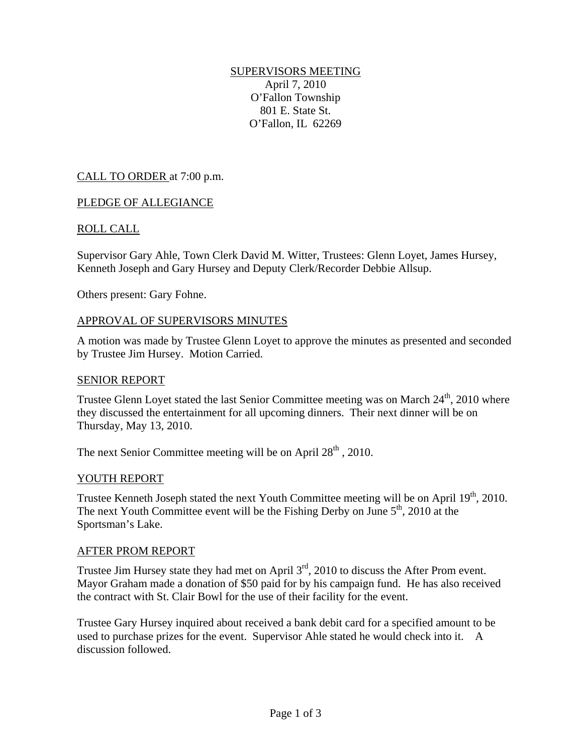# SUPERVISORS MEETING

April 7, 2010 O'Fallon Township 801 E. State St. O'Fallon, IL 62269

# CALL TO ORDER at 7:00 p.m.

# PLEDGE OF ALLEGIANCE

# ROLL CALL

Supervisor Gary Ahle, Town Clerk David M. Witter, Trustees: Glenn Loyet, James Hursey, Kenneth Joseph and Gary Hursey and Deputy Clerk/Recorder Debbie Allsup.

Others present: Gary Fohne.

#### APPROVAL OF SUPERVISORS MINUTES

A motion was made by Trustee Glenn Loyet to approve the minutes as presented and seconded by Trustee Jim Hursey. Motion Carried.

#### SENIOR REPORT

Trustee Glenn Loyet stated the last Senior Committee meeting was on March  $24<sup>th</sup>$ , 2010 where they discussed the entertainment for all upcoming dinners. Their next dinner will be on Thursday, May 13, 2010.

The next Senior Committee meeting will be on April  $28<sup>th</sup>$ , 2010.

#### YOUTH REPORT

Trustee Kenneth Joseph stated the next Youth Committee meeting will be on April 19<sup>th</sup>, 2010. The next Youth Committee event will be the Fishing Derby on June  $5<sup>th</sup>$ , 2010 at the Sportsman's Lake.

#### AFTER PROM REPORT

Trustee Jim Hursey state they had met on April  $3<sup>rd</sup>$ , 2010 to discuss the After Prom event. Mayor Graham made a donation of \$50 paid for by his campaign fund. He has also received the contract with St. Clair Bowl for the use of their facility for the event.

Trustee Gary Hursey inquired about received a bank debit card for a specified amount to be used to purchase prizes for the event. Supervisor Ahle stated he would check into it. A discussion followed.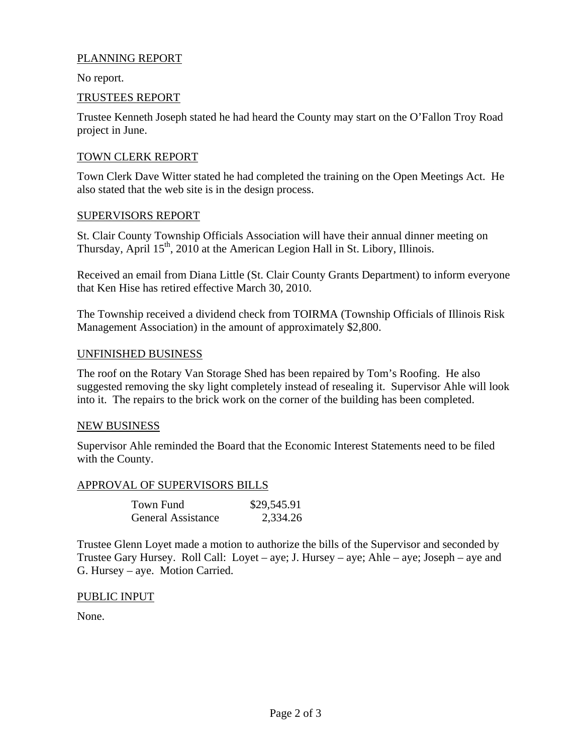# PLANNING REPORT

No report.

### TRUSTEES REPORT

Trustee Kenneth Joseph stated he had heard the County may start on the O'Fallon Troy Road project in June.

# TOWN CLERK REPORT

Town Clerk Dave Witter stated he had completed the training on the Open Meetings Act. He also stated that the web site is in the design process.

#### SUPERVISORS REPORT

St. Clair County Township Officials Association will have their annual dinner meeting on Thursday, April  $15<sup>th</sup>$ , 2010 at the American Legion Hall in St. Libory, Illinois.

Received an email from Diana Little (St. Clair County Grants Department) to inform everyone that Ken Hise has retired effective March 30, 2010.

The Township received a dividend check from TOIRMA (Township Officials of Illinois Risk Management Association) in the amount of approximately \$2,800.

#### UNFINISHED BUSINESS

The roof on the Rotary Van Storage Shed has been repaired by Tom's Roofing. He also suggested removing the sky light completely instead of resealing it. Supervisor Ahle will look into it. The repairs to the brick work on the corner of the building has been completed.

#### NEW BUSINESS

Supervisor Ahle reminded the Board that the Economic Interest Statements need to be filed with the County.

#### APPROVAL OF SUPERVISORS BILLS

| Town Fund                 | \$29,545.91 |
|---------------------------|-------------|
| <b>General Assistance</b> | 2,334.26    |

Trustee Glenn Loyet made a motion to authorize the bills of the Supervisor and seconded by Trustee Gary Hursey. Roll Call: Loyet – aye; J. Hursey – aye; Ahle – aye; Joseph – aye and G. Hursey – aye. Motion Carried.

#### PUBLIC INPUT

None.